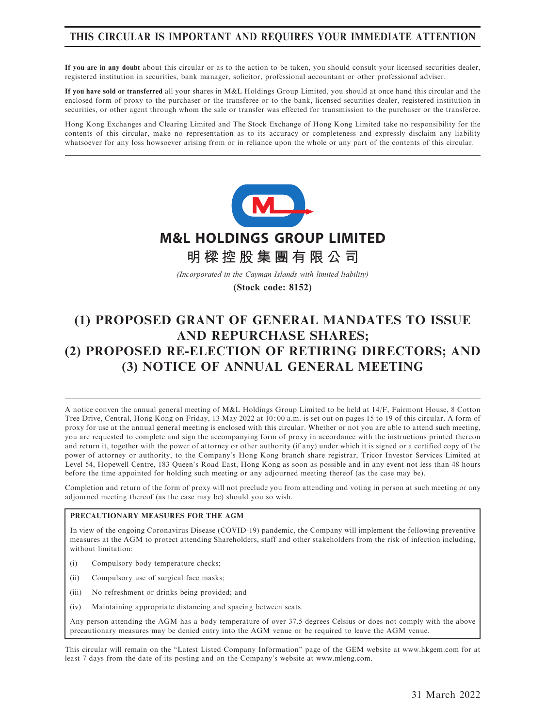## THIS CIRCULAR IS IMPORTANT AND REQUIRES YOUR IMMEDIATE ATTENTION

If you are in any doubt about this circular or as to the action to be taken, you should consult your licensed securities dealer, registered institution in securities, bank manager, solicitor, professional accountant or other professional adviser.

If you have sold or transferred all your shares in M&L Holdings Group Limited, you should at once hand this circular and the enclosed form of proxy to the purchaser or the transferee or to the bank, licensed securities dealer, registered institution in securities, or other agent through whom the sale or transfer was effected for transmission to the purchaser or the transferee.

Hong Kong Exchanges and Clearing Limited and The Stock Exchange of Hong Kong Limited take no responsibility for the contents of this circular, make no representation as to its accuracy or completeness and expressly disclaim any liability whatsoever for any loss howsoever arising from or in reliance upon the whole or any part of the contents of this circular.



# (1) PROPOSED GRANT OF GENERAL MANDATES TO ISSUE AND REPURCHASE SHARES; (2) PROPOSED RE-ELECTION OF RETIRING DIRECTORS; AND (3) NOTICE OF ANNUAL GENERAL MEETING

A notice conven the annual general meeting of M&L Holdings Group Limited to be held at 14/F, Fairmont House, 8 Cotton Tree Drive, Central, Hong Kong on Friday, 13 May 2022 at 10: 00 a.m. is set out on pages 15 to 19 of this circular. A form of proxy for use at the annual general meeting is enclosed with this circular. Whether or not you are able to attend such meeting, you are requested to complete and sign the accompanying form of proxy in accordance with the instructions printed thereon and return it, together with the power of attorney or other authority (if any) under which it is signed or a certified copy of the power of attorney or authority, to the Company's Hong Kong branch share registrar, Tricor Investor Services Limited at Level 54, Hopewell Centre, 183 Queen's Road East, Hong Kong as soon as possible and in any event not less than 48 hours before the time appointed for holding such meeting or any adjourned meeting thereof (as the case may be).

Completion and return of the form of proxy will not preclude you from attending and voting in person at such meeting or any adjourned meeting thereof (as the case may be) should you so wish.

#### PRECAUTIONARY MEASURES FOR THE AGM

In view of the ongoing Coronavirus Disease (COVID-19) pandemic, the Company will implement the following preventive measures at the AGM to protect attending Shareholders, staff and other stakeholders from the risk of infection including, without limitation:

- (i) Compulsory body temperature checks;
- (ii) Compulsory use of surgical face masks;
- (iii) No refreshment or drinks being provided; and
- (iv) Maintaining appropriate distancing and spacing between seats.

Any person attending the AGM has a body temperature of over 37.5 degrees Celsius or does not comply with the above precautionary measures may be denied entry into the AGM venue or be required to leave the AGM venue.

This circular will remain on the "Latest Listed Company Information" page of the GEM website at www.hkgem.com for at least 7 days from the date of its posting and on the Company's website at www.mleng.com.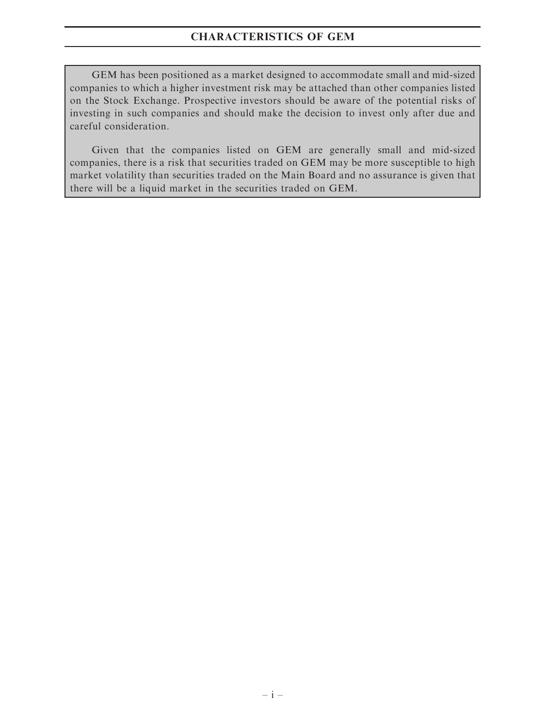# CHARACTERISTICS OF GEM

GEM has been positioned as a market designed to accommodate small and mid-sized companies to which a higher investment risk may be attached than other companies listed on the Stock Exchange. Prospective investors should be aware of the potential risks of investing in such companies and should make the decision to invest only after due and careful consideration.

Given that the companies listed on GEM are generally small and mid-sized companies, there is a risk that securities traded on GEM may be more susceptible to high market volatility than securities traded on the Main Board and no assurance is given that there will be a liquid market in the securities traded on GEM.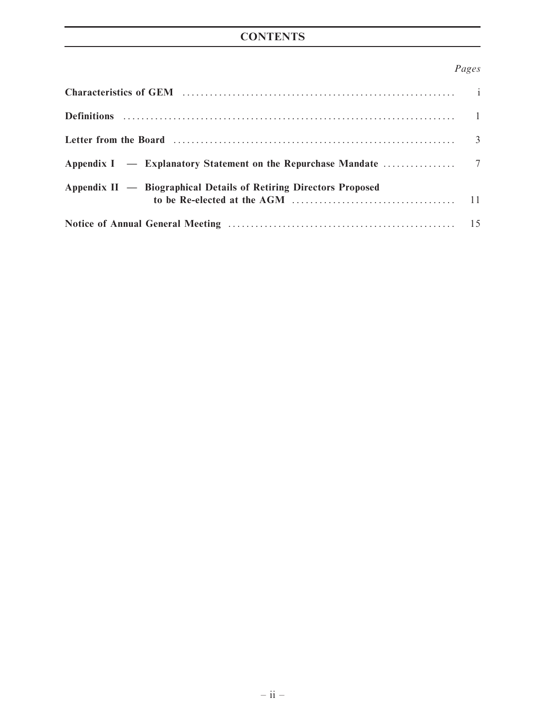# **CONTENTS**

# Pages

| Appendix II — Biographical Details of Retiring Directors Proposed |  |
|-------------------------------------------------------------------|--|
|                                                                   |  |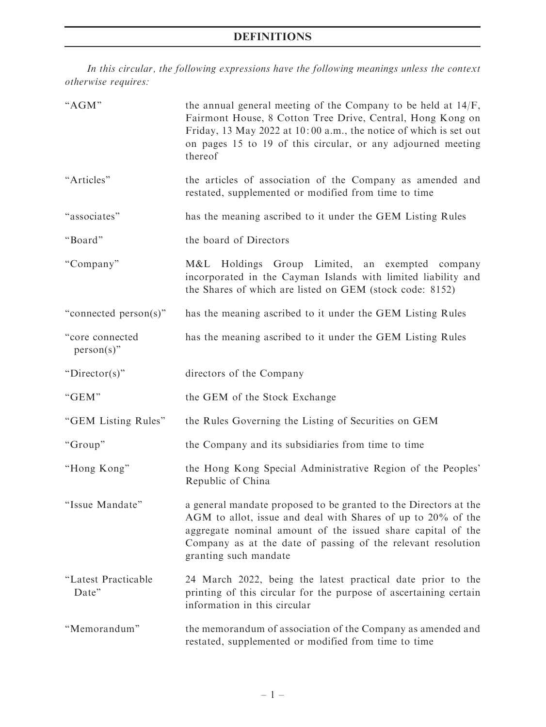# DEFINITIONS

In this circular, the following expressions have the following meanings unless the context otherwise requires:

| "AGM"                            | the annual general meeting of the Company to be held at $14/F$ ,<br>Fairmont House, 8 Cotton Tree Drive, Central, Hong Kong on<br>Friday, 13 May 2022 at 10:00 a.m., the notice of which is set out<br>on pages 15 to 19 of this circular, or any adjourned meeting<br>thereof           |
|----------------------------------|------------------------------------------------------------------------------------------------------------------------------------------------------------------------------------------------------------------------------------------------------------------------------------------|
| "Articles"                       | the articles of association of the Company as amended and<br>restated, supplemented or modified from time to time                                                                                                                                                                        |
| "associates"                     | has the meaning ascribed to it under the GEM Listing Rules                                                                                                                                                                                                                               |
| "Board"                          | the board of Directors                                                                                                                                                                                                                                                                   |
| "Company"                        | M&L Holdings Group Limited, an exempted<br>company<br>incorporated in the Cayman Islands with limited liability and<br>the Shares of which are listed on GEM (stock code: 8152)                                                                                                          |
| "connected person(s)"            | has the meaning ascribed to it under the GEM Listing Rules                                                                                                                                                                                                                               |
| "core connected<br>$person(s)$ " | has the meaning ascribed to it under the GEM Listing Rules                                                                                                                                                                                                                               |
| " $Directory$ "                  | directors of the Company                                                                                                                                                                                                                                                                 |
| "GEM"                            | the GEM of the Stock Exchange                                                                                                                                                                                                                                                            |
| "GEM Listing Rules"              | the Rules Governing the Listing of Securities on GEM                                                                                                                                                                                                                                     |
| "Group"                          | the Company and its subsidiaries from time to time                                                                                                                                                                                                                                       |
| "Hong Kong"                      | the Hong Kong Special Administrative Region of the Peoples'<br>Republic of China                                                                                                                                                                                                         |
| "Issue Mandate"                  | a general mandate proposed to be granted to the Directors at the<br>AGM to allot, issue and deal with Shares of up to 20% of the<br>aggregate nominal amount of the issued share capital of the<br>Company as at the date of passing of the relevant resolution<br>granting such mandate |
| "Latest Practicable<br>Date"     | 24 March 2022, being the latest practical date prior to the<br>printing of this circular for the purpose of ascertaining certain<br>information in this circular                                                                                                                         |
| "Memorandum"                     | the memorandum of association of the Company as amended and<br>restated, supplemented or modified from time to time                                                                                                                                                                      |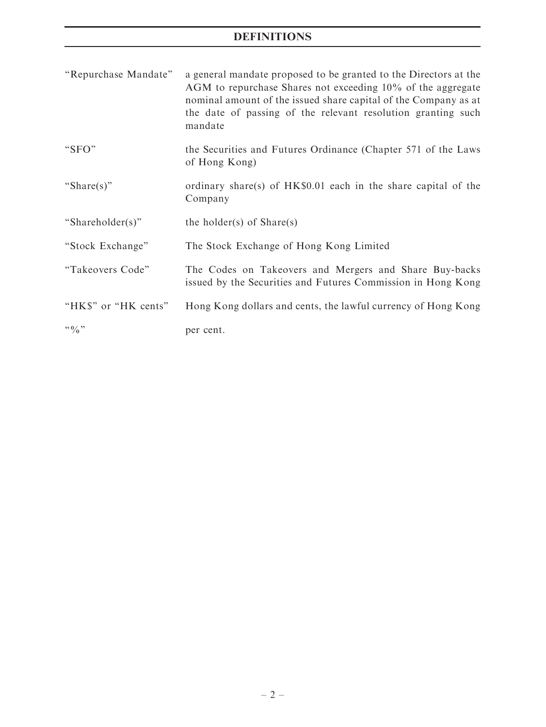# DEFINITIONS

| "Repurchase Mandate" | a general mandate proposed to be granted to the Directors at the<br>AGM to repurchase Shares not exceeding 10% of the aggregate<br>nominal amount of the issued share capital of the Company as at<br>the date of passing of the relevant resolution granting such<br>mandate |
|----------------------|-------------------------------------------------------------------------------------------------------------------------------------------------------------------------------------------------------------------------------------------------------------------------------|
| "SFO"                | the Securities and Futures Ordinance (Chapter 571 of the Laws<br>of Hong Kong)                                                                                                                                                                                                |
| "Share(s)"           | ordinary share(s) of HK\$0.01 each in the share capital of the<br>Company                                                                                                                                                                                                     |
| "Shareholder(s)"     | the holder(s) of $Share(s)$                                                                                                                                                                                                                                                   |
| "Stock Exchange"     | The Stock Exchange of Hong Kong Limited                                                                                                                                                                                                                                       |
| "Takeovers Code"     | The Codes on Takeovers and Mergers and Share Buy-backs<br>issued by the Securities and Futures Commission in Hong Kong                                                                                                                                                        |
| "HK\$" or "HK cents" | Hong Kong dollars and cents, the lawful currency of Hong Kong                                                                                                                                                                                                                 |
| $\lq\lq 0$ $\lq\lq$  | per cent.                                                                                                                                                                                                                                                                     |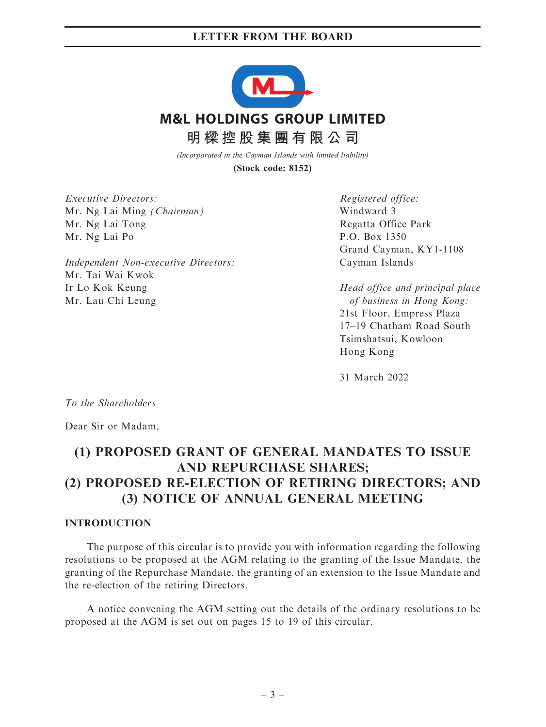

*(Incorporated in the Cayman Islands with limited liability)*

**(Stock code: 8152)**

Executive Directors: Mr. Ng Lai Ming (Chairman) Mr. Ng Lai Tong Mr. Ng Lai Po

Independent Non-executive Directors: Mr. Tai Wai Kwok Ir Lo Kok Keung Mr. Lau Chi Leung

Registered office: Windward 3 Regatta Office Park P.O. Box 1350 Grand Cayman, KY1-1108 Cayman Islands

Head office and principal place of business in Hong Kong: 21st Floor, Empress Plaza 17–19 Chatham Road South Tsimshatsui, Kowloon Hong Kong

31 March 2022

To the Shareholders

Dear Sir or Madam,

# (1) PROPOSED GRANT OF GENERAL MANDATES TO ISSUE AND REPURCHASE SHARES; (2) PROPOSED RE-ELECTION OF RETIRING DIRECTORS; AND (3) NOTICE OF ANNUAL GENERAL MEETING

#### **INTRODUCTION**

The purpose of this circular is to provide you with information regarding the following resolutions to be proposed at the AGM relating to the granting of the Issue Mandate, the granting of the Repurchase Mandate, the granting of an extension to the Issue Mandate and the re-election of the retiring Directors.

A notice convening the AGM setting out the details of the ordinary resolutions to be proposed at the AGM is set out on pages 15 to 19 of this circular.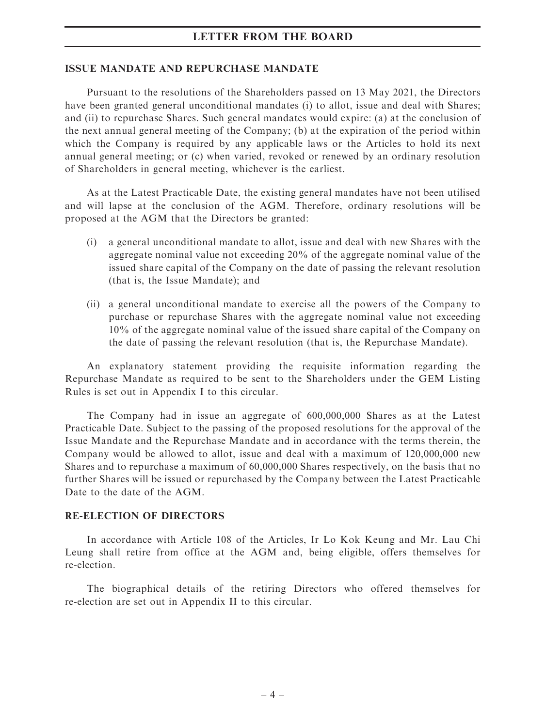#### ISSUE MANDATE AND REPURCHASE MANDATE

Pursuant to the resolutions of the Shareholders passed on 13 May 2021, the Directors have been granted general unconditional mandates (i) to allot, issue and deal with Shares; and (ii) to repurchase Shares. Such general mandates would expire: (a) at the conclusion of the next annual general meeting of the Company; (b) at the expiration of the period within which the Company is required by any applicable laws or the Articles to hold its next annual general meeting; or (c) when varied, revoked or renewed by an ordinary resolution of Shareholders in general meeting, whichever is the earliest.

As at the Latest Practicable Date, the existing general mandates have not been utilised and will lapse at the conclusion of the AGM. Therefore, ordinary resolutions will be proposed at the AGM that the Directors be granted:

- (i) a general unconditional mandate to allot, issue and deal with new Shares with the aggregate nominal value not exceeding 20% of the aggregate nominal value of the issued share capital of the Company on the date of passing the relevant resolution (that is, the Issue Mandate); and
- (ii) a general unconditional mandate to exercise all the powers of the Company to purchase or repurchase Shares with the aggregate nominal value not exceeding 10% of the aggregate nominal value of the issued share capital of the Company on the date of passing the relevant resolution (that is, the Repurchase Mandate).

An explanatory statement providing the requisite information regarding the Repurchase Mandate as required to be sent to the Shareholders under the GEM Listing Rules is set out in Appendix I to this circular.

The Company had in issue an aggregate of 600,000,000 Shares as at the Latest Practicable Date. Subject to the passing of the proposed resolutions for the approval of the Issue Mandate and the Repurchase Mandate and in accordance with the terms therein, the Company would be allowed to allot, issue and deal with a maximum of 120,000,000 new Shares and to repurchase a maximum of 60,000,000 Shares respectively, on the basis that no further Shares will be issued or repurchased by the Company between the Latest Practicable Date to the date of the AGM.

## RE-ELECTION OF DIRECTORS

In accordance with Article 108 of the Articles, Ir Lo Kok Keung and Mr. Lau Chi Leung shall retire from office at the AGM and, being eligible, offers themselves for re-election.

The biographical details of the retiring Directors who offered themselves for re-election are set out in Appendix II to this circular.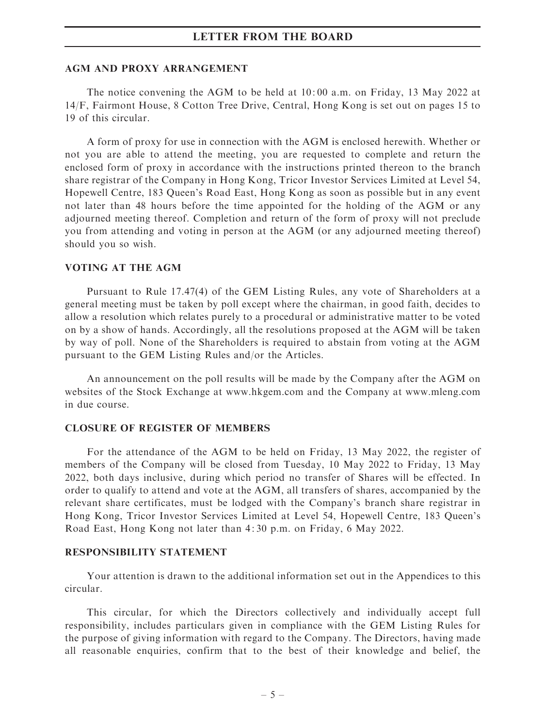#### AGM AND PROXY ARRANGEMENT

The notice convening the AGM to be held at 10: 00 a.m. on Friday, 13 May 2022 at 14/F, Fairmont House, 8 Cotton Tree Drive, Central, Hong Kong is set out on pages 15 to 19 of this circular.

A form of proxy for use in connection with the AGM is enclosed herewith. Whether or not you are able to attend the meeting, you are requested to complete and return the enclosed form of proxy in accordance with the instructions printed thereon to the branch share registrar of the Company in Hong Kong, Tricor Investor Services Limited at Level 54, Hopewell Centre, 183 Queen's Road East, Hong Kong as soon as possible but in any event not later than 48 hours before the time appointed for the holding of the AGM or any adjourned meeting thereof. Completion and return of the form of proxy will not preclude you from attending and voting in person at the AGM (or any adjourned meeting thereof) should you so wish.

#### VOTING AT THE AGM

Pursuant to Rule 17.47(4) of the GEM Listing Rules, any vote of Shareholders at a general meeting must be taken by poll except where the chairman, in good faith, decides to allow a resolution which relates purely to a procedural or administrative matter to be voted on by a show of hands. Accordingly, all the resolutions proposed at the AGM will be taken by way of poll. None of the Shareholders is required to abstain from voting at the AGM pursuant to the GEM Listing Rules and/or the Articles.

An announcement on the poll results will be made by the Company after the AGM on websites of the Stock Exchange at www.hkgem.com and the Company at www.mleng.com in due course.

#### CLOSURE OF REGISTER OF MEMBERS

For the attendance of the AGM to be held on Friday, 13 May 2022, the register of members of the Company will be closed from Tuesday, 10 May 2022 to Friday, 13 May 2022, both days inclusive, during which period no transfer of Shares will be effected. In order to qualify to attend and vote at the AGM, all transfers of shares, accompanied by the relevant share certificates, must be lodged with the Company's branch share registrar in Hong Kong, Tricor Investor Services Limited at Level 54, Hopewell Centre, 183 Queen's Road East, Hong Kong not later than 4: 30 p.m. on Friday, 6 May 2022.

#### RESPONSIBILITY STATEMENT

Your attention is drawn to the additional information set out in the Appendices to this circular.

This circular, for which the Directors collectively and individually accept full responsibility, includes particulars given in compliance with the GEM Listing Rules for the purpose of giving information with regard to the Company. The Directors, having made all reasonable enquiries, confirm that to the best of their knowledge and belief, the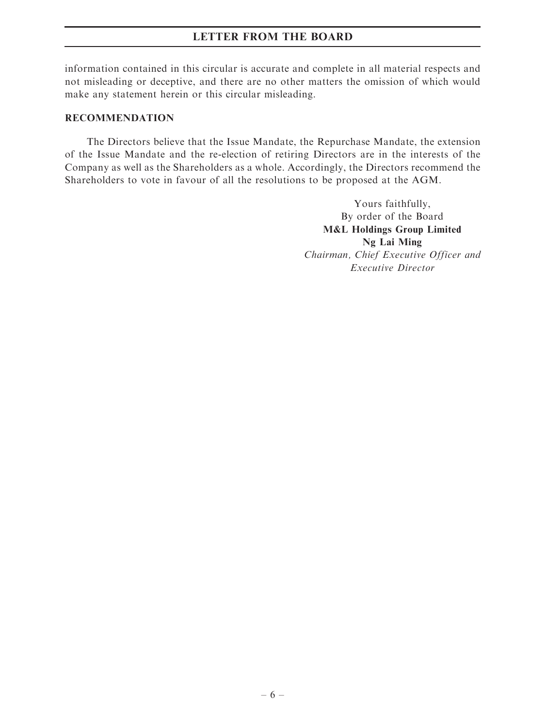information contained in this circular is accurate and complete in all material respects and not misleading or deceptive, and there are no other matters the omission of which would make any statement herein or this circular misleading.

## RECOMMENDATION

The Directors believe that the Issue Mandate, the Repurchase Mandate, the extension of the Issue Mandate and the re-election of retiring Directors are in the interests of the Company as well as the Shareholders as a whole. Accordingly, the Directors recommend the Shareholders to vote in favour of all the resolutions to be proposed at the AGM.

> Yours faithfully, By order of the Board M&L Holdings Group Limited Ng Lai Ming Chairman, Chief Executive Officer and Executive Director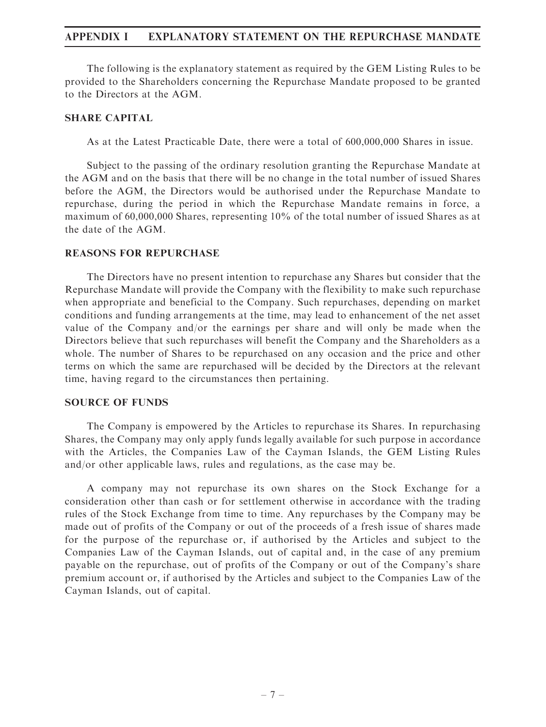The following is the explanatory statement as required by the GEM Listing Rules to be provided to the Shareholders concerning the Repurchase Mandate proposed to be granted to the Directors at the AGM.

### SHARE CAPITAL

As at the Latest Practicable Date, there were a total of 600,000,000 Shares in issue.

Subject to the passing of the ordinary resolution granting the Repurchase Mandate at the AGM and on the basis that there will be no change in the total number of issued Shares before the AGM, the Directors would be authorised under the Repurchase Mandate to repurchase, during the period in which the Repurchase Mandate remains in force, a maximum of 60,000,000 Shares, representing 10% of the total number of issued Shares as at the date of the AGM.

#### REASONS FOR REPURCHASE

The Directors have no present intention to repurchase any Shares but consider that the Repurchase Mandate will provide the Company with the flexibility to make such repurchase when appropriate and beneficial to the Company. Such repurchases, depending on market conditions and funding arrangements at the time, may lead to enhancement of the net asset value of the Company and/or the earnings per share and will only be made when the Directors believe that such repurchases will benefit the Company and the Shareholders as a whole. The number of Shares to be repurchased on any occasion and the price and other terms on which the same are repurchased will be decided by the Directors at the relevant time, having regard to the circumstances then pertaining.

#### SOURCE OF FUNDS

The Company is empowered by the Articles to repurchase its Shares. In repurchasing Shares, the Company may only apply funds legally available for such purpose in accordance with the Articles, the Companies Law of the Cayman Islands, the GEM Listing Rules and/or other applicable laws, rules and regulations, as the case may be.

A company may not repurchase its own shares on the Stock Exchange for a consideration other than cash or for settlement otherwise in accordance with the trading rules of the Stock Exchange from time to time. Any repurchases by the Company may be made out of profits of the Company or out of the proceeds of a fresh issue of shares made for the purpose of the repurchase or, if authorised by the Articles and subject to the Companies Law of the Cayman Islands, out of capital and, in the case of any premium payable on the repurchase, out of profits of the Company or out of the Company's share premium account or, if authorised by the Articles and subject to the Companies Law of the Cayman Islands, out of capital.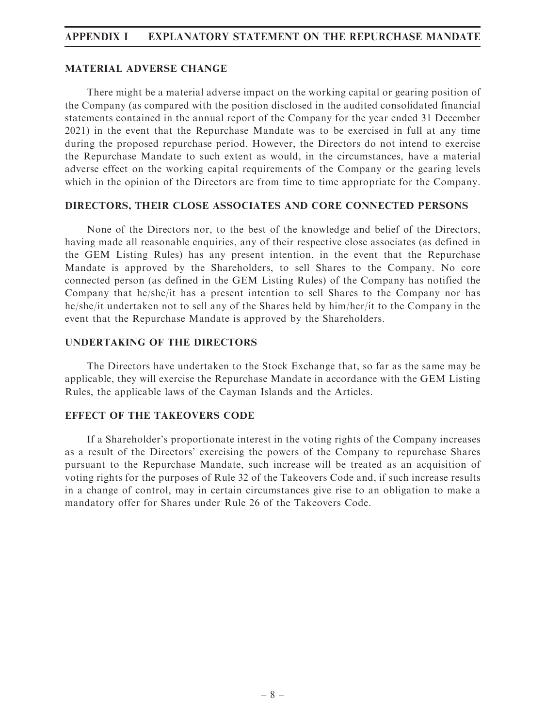#### MATERIAL ADVERSE CHANGE

There might be a material adverse impact on the working capital or gearing position of the Company (as compared with the position disclosed in the audited consolidated financial statements contained in the annual report of the Company for the year ended 31 December 2021) in the event that the Repurchase Mandate was to be exercised in full at any time during the proposed repurchase period. However, the Directors do not intend to exercise the Repurchase Mandate to such extent as would, in the circumstances, have a material adverse effect on the working capital requirements of the Company or the gearing levels which in the opinion of the Directors are from time to time appropriate for the Company.

#### DIRECTORS, THEIR CLOSE ASSOCIATES AND CORE CONNECTED PERSONS

None of the Directors nor, to the best of the knowledge and belief of the Directors, having made all reasonable enquiries, any of their respective close associates (as defined in the GEM Listing Rules) has any present intention, in the event that the Repurchase Mandate is approved by the Shareholders, to sell Shares to the Company. No core connected person (as defined in the GEM Listing Rules) of the Company has notified the Company that he/she/it has a present intention to sell Shares to the Company nor has he/she/it undertaken not to sell any of the Shares held by him/her/it to the Company in the event that the Repurchase Mandate is approved by the Shareholders.

#### UNDERTAKING OF THE DIRECTORS

The Directors have undertaken to the Stock Exchange that, so far as the same may be applicable, they will exercise the Repurchase Mandate in accordance with the GEM Listing Rules, the applicable laws of the Cayman Islands and the Articles.

#### EFFECT OF THE TAKEOVERS CODE

If a Shareholder's proportionate interest in the voting rights of the Company increases as a result of the Directors' exercising the powers of the Company to repurchase Shares pursuant to the Repurchase Mandate, such increase will be treated as an acquisition of voting rights for the purposes of Rule 32 of the Takeovers Code and, if such increase results in a change of control, may in certain circumstances give rise to an obligation to make a mandatory offer for Shares under Rule 26 of the Takeovers Code.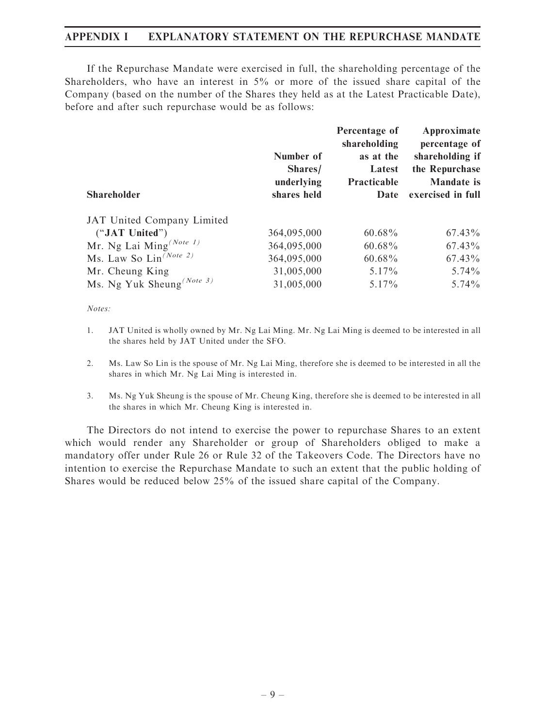If the Repurchase Mandate were exercised in full, the shareholding percentage of the Shareholders, who have an interest in 5% or more of the issued share capital of the Company (based on the number of the Shares they held as at the Latest Practicable Date), before and after such repurchase would be as follows:

| Number of<br>Shares/<br>underlying<br>shares held | Percentage of<br>shareholding<br>as at the<br>Latest<br>Practicable<br>Date | Approximate<br>percentage of<br>shareholding if<br>the Repurchase<br><b>Mandate</b> is<br>exercised in full |
|---------------------------------------------------|-----------------------------------------------------------------------------|-------------------------------------------------------------------------------------------------------------|
|                                                   |                                                                             |                                                                                                             |
| 364,095,000                                       | $60.68\%$                                                                   | $67.43\%$                                                                                                   |
| 364,095,000                                       | $60.68\%$                                                                   | $67.43\%$                                                                                                   |
| 364,095,000                                       | $60.68\%$                                                                   | $67.43\%$                                                                                                   |
| 31,005,000                                        | $5.17\%$                                                                    | $5.74\%$                                                                                                    |
| 31,005,000                                        | 5.17%                                                                       | $5.74\%$                                                                                                    |
|                                                   |                                                                             |                                                                                                             |

Notes:

- 1. JAT United is wholly owned by Mr. Ng Lai Ming. Mr. Ng Lai Ming is deemed to be interested in all the shares held by JAT United under the SFO.
- 2. Ms. Law So Lin is the spouse of Mr. Ng Lai Ming, therefore she is deemed to be interested in all the shares in which Mr. Ng Lai Ming is interested in.
- 3. Ms. Ng Yuk Sheung is the spouse of Mr. Cheung King, therefore she is deemed to be interested in all the shares in which Mr. Cheung King is interested in.

The Directors do not intend to exercise the power to repurchase Shares to an extent which would render any Shareholder or group of Shareholders obliged to make a mandatory offer under Rule 26 or Rule 32 of the Takeovers Code. The Directors have no intention to exercise the Repurchase Mandate to such an extent that the public holding of Shares would be reduced below 25% of the issued share capital of the Company.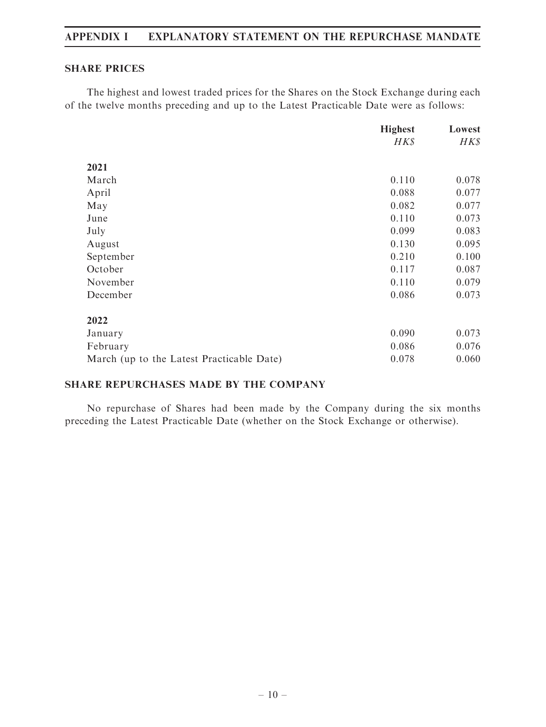### SHARE PRICES

The highest and lowest traded prices for the Shares on the Stock Exchange during each of the twelve months preceding and up to the Latest Practicable Date were as follows:

|                                           | <b>Highest</b> | Lowest |
|-------------------------------------------|----------------|--------|
|                                           | HK\$           | HK\$   |
| 2021                                      |                |        |
| March                                     | 0.110          | 0.078  |
| April                                     | 0.088          | 0.077  |
| May                                       | 0.082          | 0.077  |
| June                                      | 0.110          | 0.073  |
| July                                      | 0.099          | 0.083  |
| August                                    | 0.130          | 0.095  |
| September                                 | 0.210          | 0.100  |
| October                                   | 0.117          | 0.087  |
| November                                  | 0.110          | 0.079  |
| December                                  | 0.086          | 0.073  |
| 2022                                      |                |        |
| January                                   | 0.090          | 0.073  |
| February                                  | 0.086          | 0.076  |
| March (up to the Latest Practicable Date) | 0.078          | 0.060  |

## SHARE REPURCHASES MADE BY THE COMPANY

No repurchase of Shares had been made by the Company during the six months preceding the Latest Practicable Date (whether on the Stock Exchange or otherwise).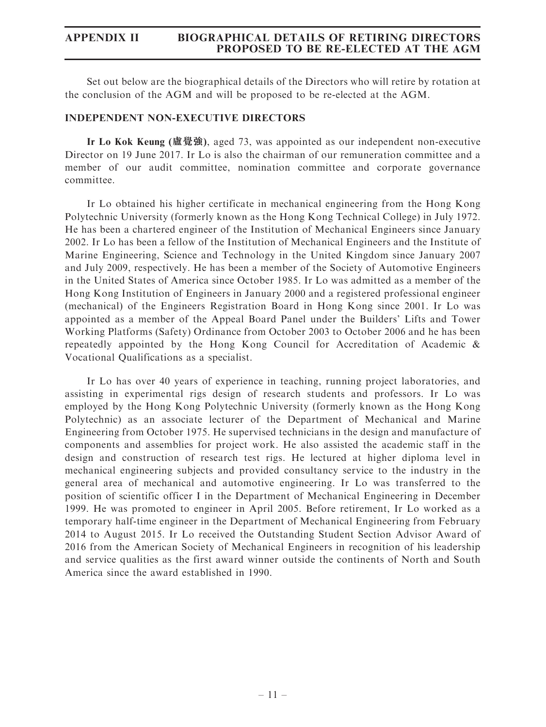Set out below are the biographical details of the Directors who will retire by rotation at the conclusion of the AGM and will be proposed to be re-elected at the AGM.

### INDEPENDENT NON-EXECUTIVE DIRECTORS

Ir Lo Kok Keung (盧覺強), aged 73, was appointed as our independent non-executive Director on 19 June 2017. Ir Lo is also the chairman of our remuneration committee and a member of our audit committee, nomination committee and corporate governance committee.

Ir Lo obtained his higher certificate in mechanical engineering from the Hong Kong Polytechnic University (formerly known as the Hong Kong Technical College) in July 1972. He has been a chartered engineer of the Institution of Mechanical Engineers since January 2002. Ir Lo has been a fellow of the Institution of Mechanical Engineers and the Institute of Marine Engineering, Science and Technology in the United Kingdom since January 2007 and July 2009, respectively. He has been a member of the Society of Automotive Engineers in the United States of America since October 1985. Ir Lo was admitted as a member of the Hong Kong Institution of Engineers in January 2000 and a registered professional engineer (mechanical) of the Engineers Registration Board in Hong Kong since 2001. Ir Lo was appointed as a member of the Appeal Board Panel under the Builders' Lifts and Tower Working Platforms (Safety) Ordinance from October 2003 to October 2006 and he has been repeatedly appointed by the Hong Kong Council for Accreditation of Academic & Vocational Qualifications as a specialist.

Ir Lo has over 40 years of experience in teaching, running project laboratories, and assisting in experimental rigs design of research students and professors. Ir Lo was employed by the Hong Kong Polytechnic University (formerly known as the Hong Kong Polytechnic) as an associate lecturer of the Department of Mechanical and Marine Engineering from October 1975. He supervised technicians in the design and manufacture of components and assemblies for project work. He also assisted the academic staff in the design and construction of research test rigs. He lectured at higher diploma level in mechanical engineering subjects and provided consultancy service to the industry in the general area of mechanical and automotive engineering. Ir Lo was transferred to the position of scientific officer I in the Department of Mechanical Engineering in December 1999. He was promoted to engineer in April 2005. Before retirement, Ir Lo worked as a temporary half-time engineer in the Department of Mechanical Engineering from February 2014 to August 2015. Ir Lo received the Outstanding Student Section Advisor Award of 2016 from the American Society of Mechanical Engineers in recognition of his leadership and service qualities as the first award winner outside the continents of North and South America since the award established in 1990.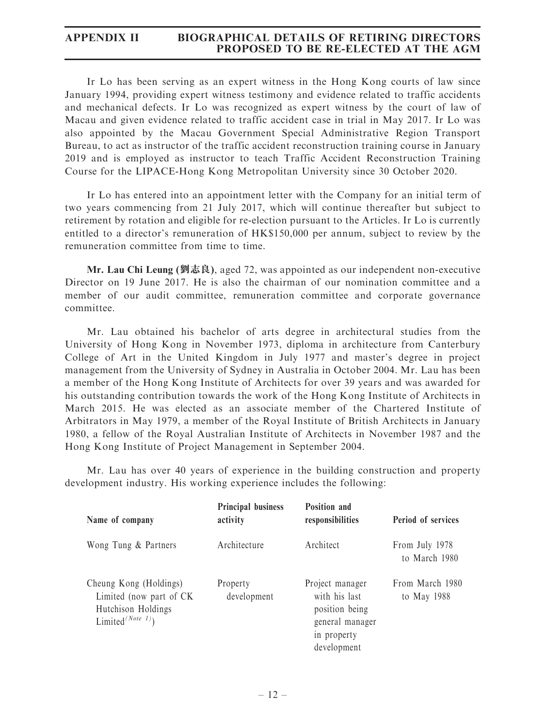Ir Lo has been serving as an expert witness in the Hong Kong courts of law since January 1994, providing expert witness testimony and evidence related to traffic accidents and mechanical defects. Ir Lo was recognized as expert witness by the court of law of Macau and given evidence related to traffic accident case in trial in May 2017. Ir Lo was also appointed by the Macau Government Special Administrative Region Transport Bureau, to act as instructor of the traffic accident reconstruction training course in January 2019 and is employed as instructor to teach Traffic Accident Reconstruction Training Course for the LIPACE-Hong Kong Metropolitan University since 30 October 2020.

Ir Lo has entered into an appointment letter with the Company for an initial term of two years commencing from 21 July 2017, which will continue thereafter but subject to retirement by rotation and eligible for re-election pursuant to the Articles. Ir Lo is currently entitled to a director's remuneration of HK\$150,000 per annum, subject to review by the remuneration committee from time to time.

Mr. Lau Chi Leung (劉志良), aged 72, was appointed as our independent non-executive Director on 19 June 2017. He is also the chairman of our nomination committee and a member of our audit committee, remuneration committee and corporate governance committee.

Mr. Lau obtained his bachelor of arts degree in architectural studies from the University of Hong Kong in November 1973, diploma in architecture from Canterbury College of Art in the United Kingdom in July 1977 and master's degree in project management from the University of Sydney in Australia in October 2004. Mr. Lau has been a member of the Hong Kong Institute of Architects for over 39 years and was awarded for his outstanding contribution towards the work of the Hong Kong Institute of Architects in March 2015. He was elected as an associate member of the Chartered Institute of Arbitrators in May 1979, a member of the Royal Institute of British Architects in January 1980, a fellow of the Royal Australian Institute of Architects in November 1987 and the Hong Kong Institute of Project Management in September 2004.

Mr. Lau has over 40 years of experience in the building construction and property development industry. His working experience includes the following:

| Name of company                                                                                           | <b>Principal business</b><br>activity | Position and<br>responsibilities                                                                    | <b>Period of services</b>       |
|-----------------------------------------------------------------------------------------------------------|---------------------------------------|-----------------------------------------------------------------------------------------------------|---------------------------------|
| Wong Tung & Partners                                                                                      | Architecture                          | Architect                                                                                           | From July 1978<br>to March 1980 |
| Cheung Kong (Holdings)<br>Limited (now part of CK)<br>Hutchison Holdings<br>Limited <sup>(Note 1)</sup> ) | Property<br>development               | Project manager<br>with his last<br>position being<br>general manager<br>in property<br>development | From March 1980<br>to May 1988  |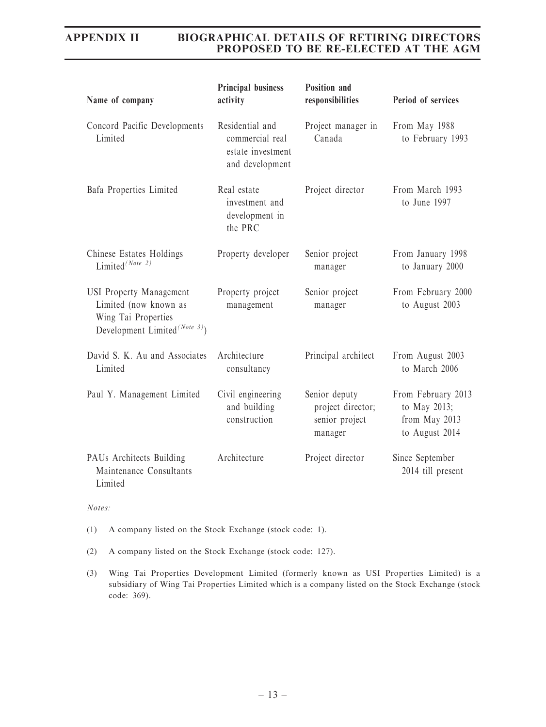| Name of company                                                                                                             | <b>Principal business</b><br>activity                                      | <b>Position and</b><br>responsibilities                         | Period of services                                                    |
|-----------------------------------------------------------------------------------------------------------------------------|----------------------------------------------------------------------------|-----------------------------------------------------------------|-----------------------------------------------------------------------|
| Concord Pacific Developments<br>Limited                                                                                     | Residential and<br>commercial real<br>estate investment<br>and development | Project manager in<br>Canada                                    | From May 1988<br>to February 1993                                     |
| Bafa Properties Limited                                                                                                     | Real estate<br>investment and<br>development in<br>the PRC                 | Project director                                                | From March 1993<br>to June 1997                                       |
| Chinese Estates Holdings<br>Limited <sup>(Note 2)</sup>                                                                     | Property developer                                                         | Senior project<br>manager                                       | From January 1998<br>to January 2000                                  |
| <b>USI Property Management</b><br>Limited (now known as<br>Wing Tai Properties<br>Development Limited <sup>(Note 3)</sup> ) | Property project<br>management                                             | Senior project<br>manager                                       | From February 2000<br>to August 2003                                  |
| David S. K. Au and Associates<br>Limited                                                                                    | Architecture<br>consultancy                                                | Principal architect                                             | From August 2003<br>to March 2006                                     |
| Paul Y. Management Limited                                                                                                  | Civil engineering<br>and building<br>construction                          | Senior deputy<br>project director;<br>senior project<br>manager | From February 2013<br>to May 2013;<br>from May 2013<br>to August 2014 |
| PAUs Architects Building<br>Maintenance Consultants<br>Limited                                                              | Architecture                                                               | Project director                                                | Since September<br>2014 till present                                  |

Notes:

(1) A company listed on the Stock Exchange (stock code: 1).

(2) A company listed on the Stock Exchange (stock code: 127).

(3) Wing Tai Properties Development Limited (formerly known as USI Properties Limited) is a subsidiary of Wing Tai Properties Limited which is a company listed on the Stock Exchange (stock code: 369).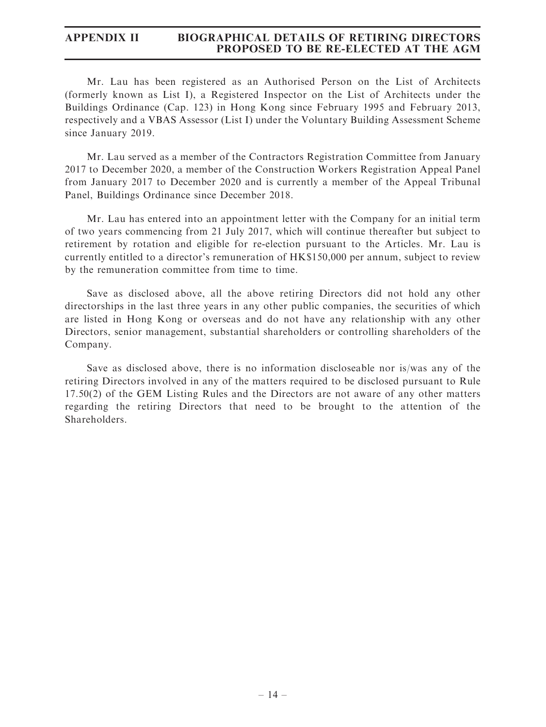Mr. Lau has been registered as an Authorised Person on the List of Architects (formerly known as List I), a Registered Inspector on the List of Architects under the Buildings Ordinance (Cap. 123) in Hong Kong since February 1995 and February 2013, respectively and a VBAS Assessor (List I) under the Voluntary Building Assessment Scheme since January 2019.

Mr. Lau served as a member of the Contractors Registration Committee from January 2017 to December 2020, a member of the Construction Workers Registration Appeal Panel from January 2017 to December 2020 and is currently a member of the Appeal Tribunal Panel, Buildings Ordinance since December 2018.

Mr. Lau has entered into an appointment letter with the Company for an initial term of two years commencing from 21 July 2017, which will continue thereafter but subject to retirement by rotation and eligible for re-election pursuant to the Articles. Mr. Lau is currently entitled to a director's remuneration of HK\$150,000 per annum, subject to review by the remuneration committee from time to time.

Save as disclosed above, all the above retiring Directors did not hold any other directorships in the last three years in any other public companies, the securities of which are listed in Hong Kong or overseas and do not have any relationship with any other Directors, senior management, substantial shareholders or controlling shareholders of the Company.

Save as disclosed above, there is no information discloseable nor is/was any of the retiring Directors involved in any of the matters required to be disclosed pursuant to Rule 17.50(2) of the GEM Listing Rules and the Directors are not aware of any other matters regarding the retiring Directors that need to be brought to the attention of the Shareholders.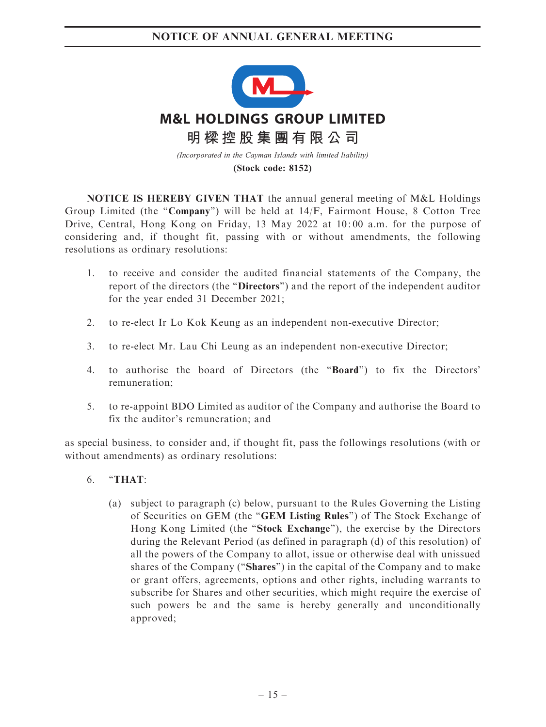

**(Stock code: 8152)**

NOTICE IS HEREBY GIVEN THAT the annual general meeting of M&L Holdings Group Limited (the "Company") will be held at  $14/F$ , Fairmont House, 8 Cotton Tree Drive, Central, Hong Kong on Friday, 13 May 2022 at 10: 00 a.m. for the purpose of considering and, if thought fit, passing with or without amendments, the following resolutions as ordinary resolutions:

- 1. to receive and consider the audited financial statements of the Company, the report of the directors (the "Directors") and the report of the independent auditor for the year ended 31 December 2021;
- 2. to re-elect Ir Lo Kok Keung as an independent non-executive Director;
- 3. to re-elect Mr. Lau Chi Leung as an independent non-executive Director;
- 4. to authorise the board of Directors (the ''Board'') to fix the Directors' remuneration;
- 5. to re-appoint BDO Limited as auditor of the Company and authorise the Board to fix the auditor's remuneration; and

as special business, to consider and, if thought fit, pass the followings resolutions (with or without amendments) as ordinary resolutions:

- $6.$  "THAT:
	- (a) subject to paragraph (c) below, pursuant to the Rules Governing the Listing of Securities on GEM (the ''GEM Listing Rules'') of The Stock Exchange of Hong Kong Limited (the "Stock Exchange"), the exercise by the Directors during the Relevant Period (as defined in paragraph (d) of this resolution) of all the powers of the Company to allot, issue or otherwise deal with unissued shares of the Company (''Shares'') in the capital of the Company and to make or grant offers, agreements, options and other rights, including warrants to subscribe for Shares and other securities, which might require the exercise of such powers be and the same is hereby generally and unconditionally approved;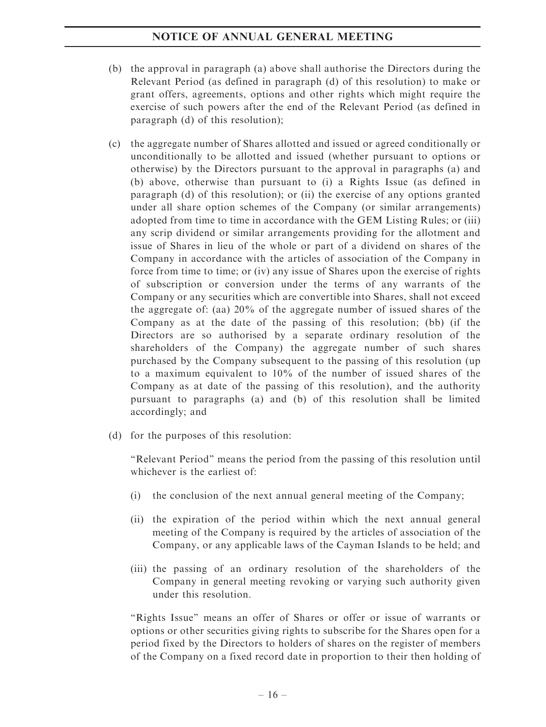- (b) the approval in paragraph (a) above shall authorise the Directors during the Relevant Period (as defined in paragraph (d) of this resolution) to make or grant offers, agreements, options and other rights which might require the exercise of such powers after the end of the Relevant Period (as defined in paragraph (d) of this resolution);
- (c) the aggregate number of Shares allotted and issued or agreed conditionally or unconditionally to be allotted and issued (whether pursuant to options or otherwise) by the Directors pursuant to the approval in paragraphs (a) and (b) above, otherwise than pursuant to (i) a Rights Issue (as defined in paragraph (d) of this resolution); or (ii) the exercise of any options granted under all share option schemes of the Company (or similar arrangements) adopted from time to time in accordance with the GEM Listing Rules; or (iii) any scrip dividend or similar arrangements providing for the allotment and issue of Shares in lieu of the whole or part of a dividend on shares of the Company in accordance with the articles of association of the Company in force from time to time; or (iv) any issue of Shares upon the exercise of rights of subscription or conversion under the terms of any warrants of the Company or any securities which are convertible into Shares, shall not exceed the aggregate of: (aa) 20% of the aggregate number of issued shares of the Company as at the date of the passing of this resolution; (bb) (if the Directors are so authorised by a separate ordinary resolution of the shareholders of the Company) the aggregate number of such shares purchased by the Company subsequent to the passing of this resolution (up to a maximum equivalent to 10% of the number of issued shares of the Company as at date of the passing of this resolution), and the authority pursuant to paragraphs (a) and (b) of this resolution shall be limited accordingly; and
- (d) for the purposes of this resolution:

''Relevant Period'' means the period from the passing of this resolution until whichever is the earliest of:

- (i) the conclusion of the next annual general meeting of the Company;
- (ii) the expiration of the period within which the next annual general meeting of the Company is required by the articles of association of the Company, or any applicable laws of the Cayman Islands to be held; and
- (iii) the passing of an ordinary resolution of the shareholders of the Company in general meeting revoking or varying such authority given under this resolution.

"Rights Issue" means an offer of Shares or offer or issue of warrants or options or other securities giving rights to subscribe for the Shares open for a period fixed by the Directors to holders of shares on the register of members of the Company on a fixed record date in proportion to their then holding of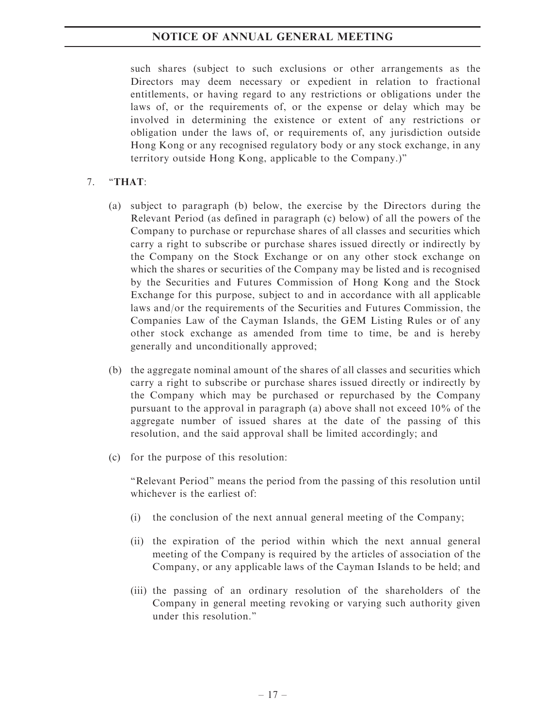such shares (subject to such exclusions or other arrangements as the Directors may deem necessary or expedient in relation to fractional entitlements, or having regard to any restrictions or obligations under the laws of, or the requirements of, or the expense or delay which may be involved in determining the existence or extent of any restrictions or obligation under the laws of, or requirements of, any jurisdiction outside Hong Kong or any recognised regulatory body or any stock exchange, in any territory outside Hong Kong, applicable to the Company.)''

## 7. ''THAT:

- (a) subject to paragraph (b) below, the exercise by the Directors during the Relevant Period (as defined in paragraph (c) below) of all the powers of the Company to purchase or repurchase shares of all classes and securities which carry a right to subscribe or purchase shares issued directly or indirectly by the Company on the Stock Exchange or on any other stock exchange on which the shares or securities of the Company may be listed and is recognised by the Securities and Futures Commission of Hong Kong and the Stock Exchange for this purpose, subject to and in accordance with all applicable laws and/or the requirements of the Securities and Futures Commission, the Companies Law of the Cayman Islands, the GEM Listing Rules or of any other stock exchange as amended from time to time, be and is hereby generally and unconditionally approved;
- (b) the aggregate nominal amount of the shares of all classes and securities which carry a right to subscribe or purchase shares issued directly or indirectly by the Company which may be purchased or repurchased by the Company pursuant to the approval in paragraph (a) above shall not exceed 10% of the aggregate number of issued shares at the date of the passing of this resolution, and the said approval shall be limited accordingly; and
- (c) for the purpose of this resolution:

''Relevant Period'' means the period from the passing of this resolution until whichever is the earliest of:

- (i) the conclusion of the next annual general meeting of the Company;
- (ii) the expiration of the period within which the next annual general meeting of the Company is required by the articles of association of the Company, or any applicable laws of the Cayman Islands to be held; and
- (iii) the passing of an ordinary resolution of the shareholders of the Company in general meeting revoking or varying such authority given under this resolution.''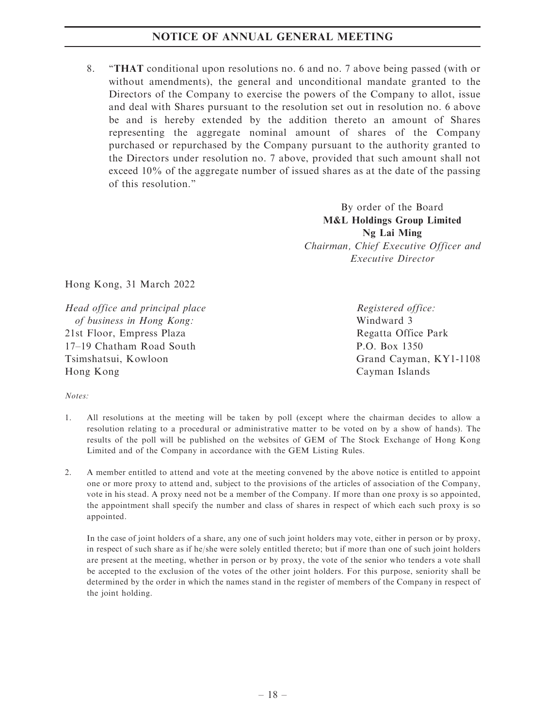8. ''THAT conditional upon resolutions no. 6 and no. 7 above being passed (with or without amendments), the general and unconditional mandate granted to the Directors of the Company to exercise the powers of the Company to allot, issue and deal with Shares pursuant to the resolution set out in resolution no. 6 above be and is hereby extended by the addition thereto an amount of Shares representing the aggregate nominal amount of shares of the Company purchased or repurchased by the Company pursuant to the authority granted to the Directors under resolution no. 7 above, provided that such amount shall not exceed 10% of the aggregate number of issued shares as at the date of the passing of this resolution.''

> By order of the Board M&L Holdings Group Limited Ng Lai Ming Chairman, Chief Executive Officer and Executive Director

Hong Kong, 31 March 2022

Head office and principal place of business in Hong Kong: 21st Floor, Empress Plaza 17–19 Chatham Road South Tsimshatsui, Kowloon Hong Kong

Registered office: Windward 3 Regatta Office Park P.O. Box 1350 Grand Cayman, KY1-1108 Cayman Islands

### Notes:

- 1. All resolutions at the meeting will be taken by poll (except where the chairman decides to allow a resolution relating to a procedural or administrative matter to be voted on by a show of hands). The results of the poll will be published on the websites of GEM of The Stock Exchange of Hong Kong Limited and of the Company in accordance with the GEM Listing Rules.
- 2. A member entitled to attend and vote at the meeting convened by the above notice is entitled to appoint one or more proxy to attend and, subject to the provisions of the articles of association of the Company, vote in his stead. A proxy need not be a member of the Company. If more than one proxy is so appointed, the appointment shall specify the number and class of shares in respect of which each such proxy is so appointed.

In the case of joint holders of a share, any one of such joint holders may vote, either in person or by proxy, in respect of such share as if he/she were solely entitled thereto; but if more than one of such joint holders are present at the meeting, whether in person or by proxy, the vote of the senior who tenders a vote shall be accepted to the exclusion of the votes of the other joint holders. For this purpose, seniority shall be determined by the order in which the names stand in the register of members of the Company in respect of the joint holding.